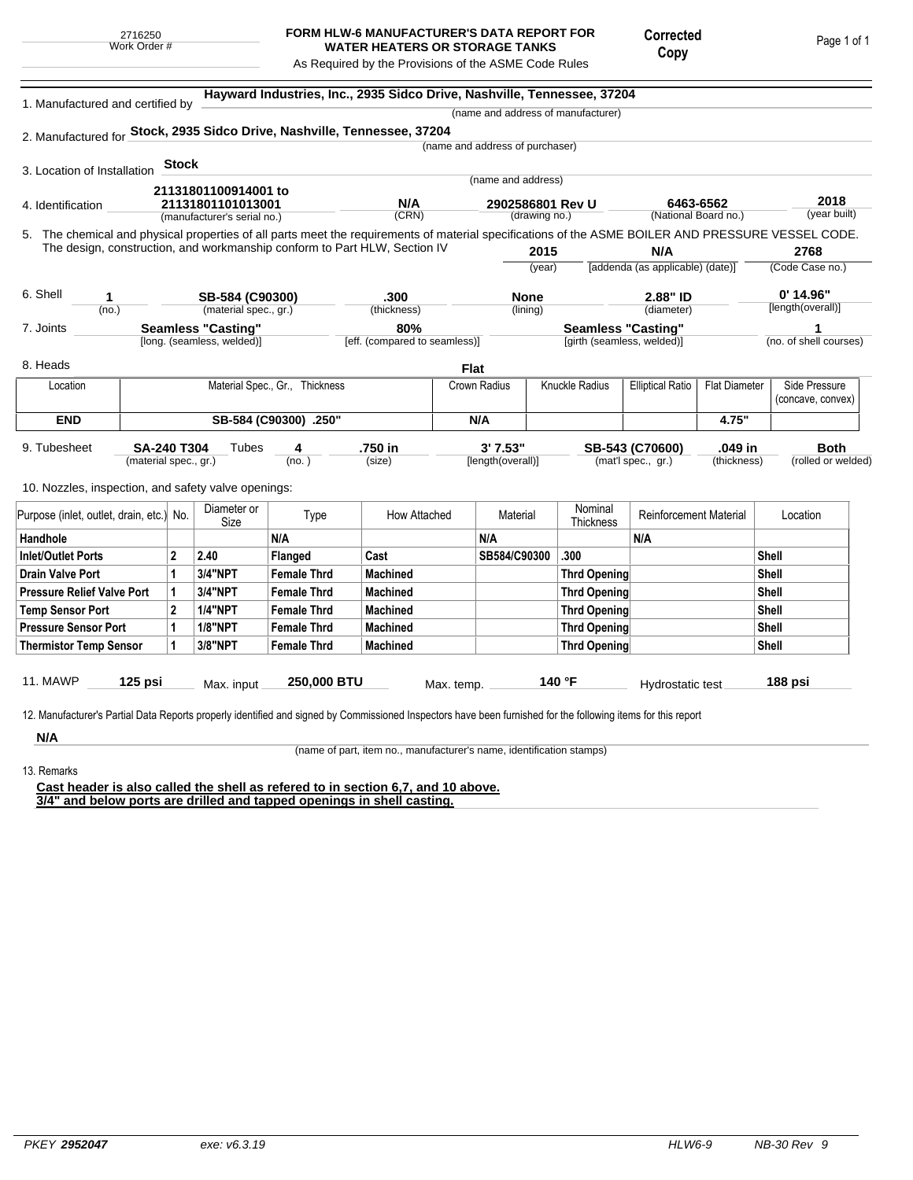## **FORM HLW-6 MANUFACTURER'S DATA REPORT FOR WATER HEATERS OR STORAGE TANKS**

Corrected Copy

As Required by the Provisions of the ASME Code Rules

5. (year built) **Hayward Industries, Inc., 2935 Sidco Drive, Nashville, Tennessee, 37204** 1. Manufactured and certified by 2. Manufactured for **Stock, 2935 Sidco Drive, Nashville, Tennessee, 37204** 3. Location of Installation 4. Identification (manufacturer's serial no.) (CRN) (drawing no.) (National Board no.) 11. MAWP **125 psi** Max. input **250,000 BTU** Max. temp. **140 °F** Hydrostatic test **188 psi** (material spec., gr.) 9. Tubesheet 10. Nozzles, inspection, and safety valve openings: **Stock** The chemical and physical properties of all parts meet the requirements of material specifications of the ASME BOILER AND PRESSURE VESSEL CODE. The design, construction, and workmanship conform to Part HLW, Section IV **2015** (year) (no.) (material spec., gr.) (thickness) 6. Shell 7. Joints 8. Heads [long. (seamless, welded)] [eff. (compared to seamless)] [girth (seamless, welded)] (no. of shell courses) **N/A** [addenda (as applicable) (date)] **2768** (Code Case no.) **2.88" ID**  $\qquad \qquad 0'$  **14.96"** (diameter) 12. Manufacturer's Partial Data Reports properly identified and signed by Commissioned Inspectors have been furnished for the following items for this report (name and address of manufacturer) (name and address of purchaser) (name and address) (lining)  $(no. )$ **Tubes** (size) [length(overall)] (mat'l spec., gr.) (thickness) (rolled or welded) **6463-6562 2018 21131801100914001 to 21131801101013001 N/A 2902586801 Rev U 1 SB-584 (C90300) .300 None 2.88" ID 0' 14.96" Seamless "Casting" 80% Seamless "Casting" 1 SA-240 T304 4 .750 in 3' 7.53" SB-543 (C70600) .049 in Both Flat** Location | Material Spec., Gr., Thickness | Crown Radius | Knuckle Radius | Elliptical Ratio | Flat Diameter | Side Pressure (concave, convex) **END SB-584 (C90300) .250" N/A 4.75"** Purpose (inlet, outlet, drain, etc.) No.  $\begin{array}{|c|c|} \hline \text{Diameter or } \\ \text{Size} \end{array}$ meter or **Type** How Attached Material Nominal<br>Size Thicknes Nominal Reinforcement Material Location Handhole N/A N/A N/A Inlet/Outlet Ports 2 2.40 Flanged Cast SB584/C90300 .300 Shell Drain Valve Port |1 |3/4"NPT |Female Thrd |Machined |Thrd Opening |Shell Pressure Relief Valve Port | 1 | 3/4"NPT | Female Thrd | Machined | Thrd Opening | Thrd Opening | Shell Temp Sensor Port |2 |1/4"NPT | Female Thrd | Machined | Shell Pressure Sensor Port  $\begin{array}{|c|c|c|c|c|}\n\hline\n\text{1} & \text{1/8"NPT} & \text{Female Thrd} & \text{Machineed} & \text{Thread} & \text{Thread} \\
\hline\n\end{array}$ Thermistor Temp Sensor | 1 | 3/8"NPT | Female Thrd | Machined Three Three Thrd Opening | Thrd Opening | Shell

**N/A** 13. Remarks

(name of part, item no., manufacturer's name, identification stamps)

**Cast header is also called the shell as refered to in section 6,7, and 10 above. 3/4" and below ports are drilled and tapped openings in shell casting.**

Page 1 of 1